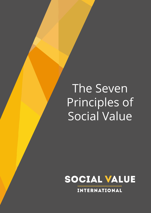# The Seven Principles of Social Value

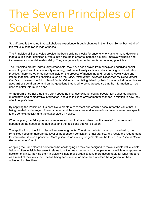## The Seven Principles of Social Value

Social Value is the value that stakeholders experience through changes in their lives. Some, but not all of this value is captured in market prices.

The Principles of Social Value provide the basic building blocks for anyone who wants to make decisions that take this wider definition of value into account, in order to increase equality, improve wellbeing and increase environmental sustainability. They are generally accepted social accounting principles.

The Principles are not individually remarkable; they have been drawn from principles underlying social accounting and audit, sustainability reporting, cost benefit analysis, financial accounting, and evaluation practice. There are other guides available on the process of measuring and reporting social value and impact that also refer to principles, such as the *Social Investment Taskforce Guidelines for Good Impact Practice*. However, the Principles of Social Value can be distinguished by their focus on what underpins an **account of social value**, and on the questions that need to be addressed so that the information can be used to better inform decisions.

An **account of social value** is a story about the changes experienced by people. It includes qualitative, quantitative and comparative information, and also includes environmental changes in relation to how they affect people's lives.

By applying the Principles, it is possible to create a consistent and credible account for the value that is being created or destroyed. The outcomes, and the measures and values of outcomes, can remain specific to the context, activity, and the stakeholders involved.

When applied, the Principles also create an account that recognises that the level of rigour required depends on the needs of the audience and the decisions that will be taken.

The application of the Principles will require judgments. Therefore the information produced using the Principles needs an appropriate level of independent verification or assurance. As a result, the requirement for verification is also a principle. More guidance on making judgements can be found in *A Guide to Social Return on Investment*.

Adopting the Principles will sometimes be challenging as they are designed to make invisible value visible. Value is often invisible because it relates to outcomes experienced by people who have little or no power in decision making. Applying the Principles will help make organisations more accountable for what happens as a result of their work, and means being accountable for more than whether the organisation has achieved its objectives.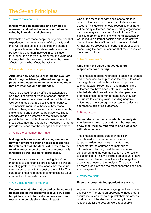### The Seven Principles

#### 1. Involve stakeholders

#### **Inform what gets measured and how this is measured and valued in an account of social value by involving stakeholders.**

Stakeholders are those people or organisations that experience change as a result of the activity and they will be best placed to describe the change. This principle means that stakeholders need to be identified and then involved in consultation throughout the analysis, in order that the value and the way that it is measured, is informed by those affected by, or who affect, the activity.

#### 2. Understand what changes

#### **Articulate how change is created and evaluate this through evidence gathered, recognising positive and negative changes as well as those that are intended and unintended.**

Value is created for or by different stakeholders as a result of different types of change; changes that the stakeholders intend and do not intend, as well as changes that are positive and negative. This principle requires a theory of how these different changes are created, which is informed by stakeholders and supported by evidence. These changes are the outcomes of the activity, made possible by the contributions of stakeholders. It is these outcomes that should be measured in order to provide evidence that the change has taken place.

#### 3. Value the outcomes that matter

**Making decisions about allocating resources between different options needs to recognise the values of stakeholders. Value refers to the relative importance of different outcomes. It is informed by stakeholders' preferences.**

There are various ways of achieving this. One method is to use financial proxies which as well as revealing preferences, also means that the value can be compared with the cost of the activity. This can be an effective means of communicating value in order to influence decisions.

#### 4. Only include what is material

**Determine what information and evidence must be included in the accounts to give a true and fair picture, such that stakeholders can draw reasonable conclusions about impact.** 

One of the most important decisions to make is which outcomes to include and exclude from an account. This decision should recognise that there will be many outcomes, and a reporting organisation cannot manage and account for all of them. The basic judgement to make is whether a stakeholder would make a different decision about the activity if a particular piece of information were excluded. An assurance process is important in order to give those using the account comfort that material issues have been included.

#### 5. Do not over-claim

#### **Only claim the value that activities are responsible for creating.**

This principle requires reference to baselines, trends and benchmarks to help assess the extent to which a change is caused by the activity, as opposed to other factors. Reporting on and managing the outcomes that have been determined with the affected stakeholders will enable other people or organisations to better understand how they can contribute to creating value, avoiding negative outcomes and encouraging a system or collective approach to achieving outcomes.

#### 6. Be transparent

**Demonstrate the basis on which the analysis may be considered accurate and honest, and show that it will be reported to and discussed with stakeholders.**

This principle requires that each decision is explained and documented in relation to: stakeholders, outcomes, indicators and benchmarks; the sources and methods of information collection; the different scenarios considered; and the communication of the results to stakeholders. This will include an account of how those responsible for the activity will change the activity as a result of the analysis. The analysis will be more credible when the reasons for the decisions are transparent.

#### 7. Verify the result

#### **Ensure appropriate independent assurance.**

Any account of value involves judgment and some subjectivity. Therefore an appropriate independent assurance is required to help stakeholders assess whether or not the decisions made by those responsible for the account were reasonable.